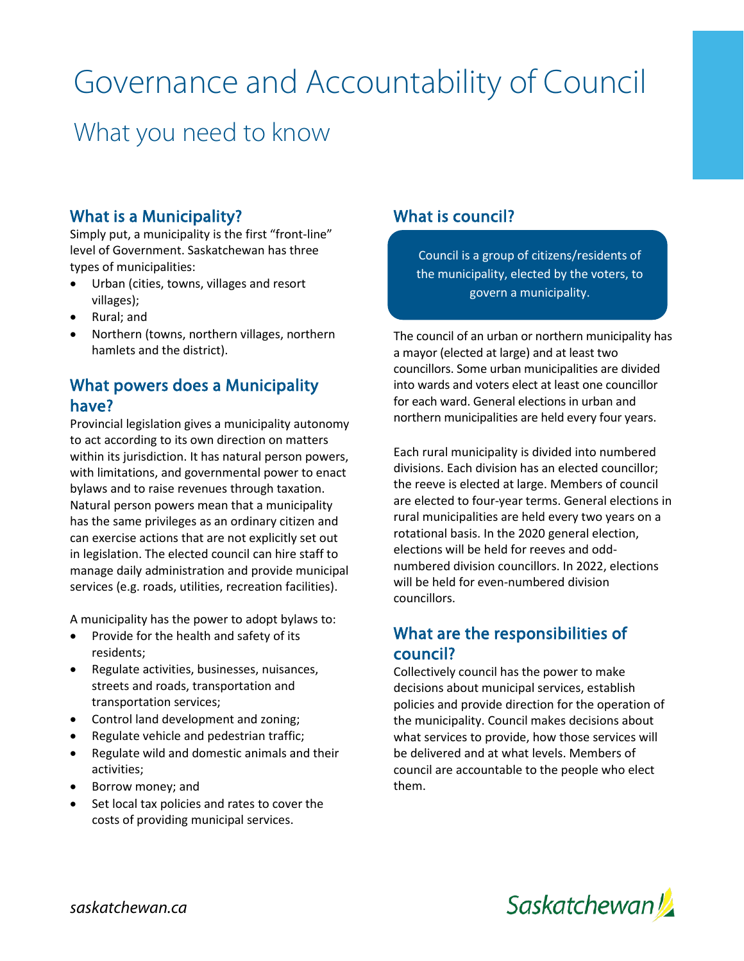# Governance and Accountability of Council

# What you need to know

#### What is a Municipality?

Simply put, a municipality is the first "front-line" level of Government. Saskatchewan has three types of municipalities:

- Urban (cities, towns, villages and resort villages);
- Rural; and
- Northern (towns, northern villages, northern hamlets and the district).

## What powers does a Municipality have?

Provincial legislation gives a municipality autonomy to act according to its own direction on matters within its jurisdiction. It has natural person powers, with limitations, and governmental power to enact bylaws and to raise revenues through taxation. Natural person powers mean that a municipality has the same privileges as an ordinary citizen and can exercise actions that are not explicitly set out in legislation. The elected council can hire staff to manage daily administration and provide municipal services (e.g. roads, utilities, recreation facilities).

A municipality has the power to adopt bylaws to:

- Provide for the health and safety of its residents;
- Regulate activities, businesses, nuisances, streets and roads, transportation and transportation services;
- Control land development and zoning;
- Regulate vehicle and pedestrian traffic;
- Regulate wild and domestic animals and their activities;
- Borrow money; and
- Set local tax policies and rates to cover the costs of providing municipal services.

## What is council?

í

j

Council is a group of citizens/residents of the municipality, elected by the voters, to govern a municipality.

The council of an urban or northern municipality has a mayor (elected at large) and at least two councillors. Some urban municipalities are divided into wards and voters elect at least one councillor for each ward. General elections in urban and northern municipalities are held every four years.

Each rural municipality is divided into numbered divisions. Each division has an elected councillor; the reeve is elected at large. Members of council are elected to four-year terms. General elections in rural municipalities are held every two years on a rotational basis. In the 2020 general election, elections will be held for reeves and oddnumbered division councillors. In 2022, elections will be held for even-numbered division councillors.

#### What are the responsibilities of council?

Collectively council has the power to make decisions about municipal services, establish policies and provide direction for the operation of the municipality. Council makes decisions about what services to provide, how those services will be delivered and at what levels. Members of council are accountable to the people who elect them.